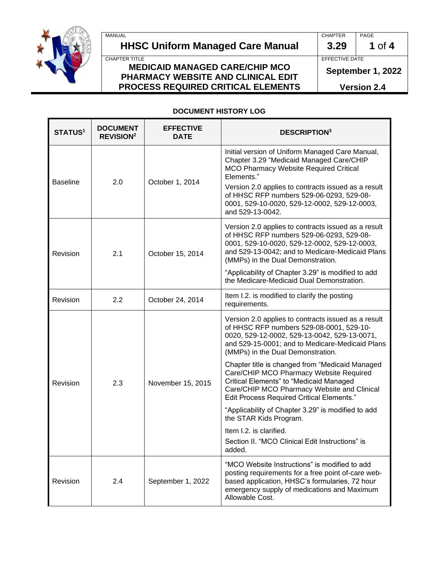MANUAL **CHAPTER** PAGE

# **HHSC Uniform Managed Care Manual 3.29 1** of **4**

### CHAPTER TITLE **EFFECTIVE MEDICAID MANAGED CARE/CHIP MCO PHARMACY WEBSITE AND CLINICAL EDIT PROCESS REQUIRED CRITICAL ELEMENTS**

**September 1, 2022**

**Version 2.4**

### **DOCUMENT HISTORY LOG**

| <b>STATUS1</b>  | <b>DOCUMENT</b><br><b>REVISION<sup>2</sup></b> | <b>EFFECTIVE</b><br>DATE | <b>DESCRIPTION3</b>                                                                                                                                                                                                                                                                                                                        |  |
|-----------------|------------------------------------------------|--------------------------|--------------------------------------------------------------------------------------------------------------------------------------------------------------------------------------------------------------------------------------------------------------------------------------------------------------------------------------------|--|
| <b>Baseline</b> | 2.0                                            | October 1, 2014          | Initial version of Uniform Managed Care Manual,<br>Chapter 3.29 "Medicaid Managed Care/CHIP<br>MCO Pharmacy Website Required Critical<br>Elements."<br>Version 2.0 applies to contracts issued as a result<br>of HHSC RFP numbers 529-06-0293, 529-08-<br>0001, 529-10-0020, 529-12-0002, 529-12-0003,<br>and 529-13-0042.                 |  |
| Revision        | 2.1                                            | October 15, 2014         | Version 2.0 applies to contracts issued as a result<br>of HHSC RFP numbers 529-06-0293, 529-08-<br>0001, 529-10-0020, 529-12-0002, 529-12-0003,<br>and 529-13-0042; and to Medicare-Medicaid Plans<br>(MMPs) in the Dual Demonstration.<br>"Applicability of Chapter 3.29" is modified to add<br>the Medicare-Medicaid Dual Demonstration. |  |
| Revision        | 2.2                                            | October 24, 2014         | Item I.2. is modified to clarify the posting<br>requirements.                                                                                                                                                                                                                                                                              |  |
| Revision        | 2.3                                            | November 15, 2015        | Version 2.0 applies to contracts issued as a result<br>of HHSC RFP numbers 529-08-0001, 529-10-<br>0020, 529-12-0002, 529-13-0042, 529-13-0071,<br>and 529-15-0001; and to Medicare-Medicaid Plans<br>(MMPs) in the Dual Demonstration.                                                                                                    |  |
|                 |                                                |                          | Chapter title is changed from "Medicaid Managed<br>Care/CHIP MCO Pharmacy Website Required<br>Critical Elements" to "Medicaid Managed<br>Care/CHIP MCO Pharmacy Website and Clinical<br><b>Edit Process Required Critical Elements."</b>                                                                                                   |  |
|                 |                                                |                          | "Applicability of Chapter 3.29" is modified to add<br>the STAR Kids Program.                                                                                                                                                                                                                                                               |  |
|                 |                                                |                          | Item I.2. is clarified.<br>Section II. "MCO Clinical Edit Instructions" is<br>added.                                                                                                                                                                                                                                                       |  |
| Revision        | 2.4                                            | September 1, 2022        | "MCO Website Instructions" is modified to add<br>posting requirements for a free point of-care web-<br>based application, HHSC's formularies, 72 hour<br>emergency supply of medications and Maximum<br>Allowable Cost.                                                                                                                    |  |

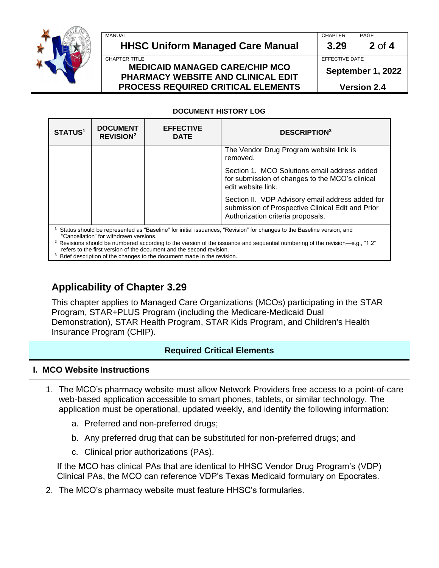

#### MANUAL CHAPTER PAGE **HHSC Uniform Managed Care Manual 3.29 2** of **4** CHAPTER TITLE **EFFECTIVE DATE MEDICAID MANAGED CARE/CHIP MCO PHARMACY WEBSITE AND CLINICAL EDIT**

**September 1, 2022**

**Version 2.4**

## **DOCUMENT HISTORY LOG**

**PROCESS REQUIRED CRITICAL ELEMENTS**

| <b>STATUS<sup>1</sup></b>                                                                                                                                                                                                                                                                     | <b>DOCUMENT</b><br><b>REVISION<sup>2</sup></b> | <b>EFFECTIVE</b><br><b>DATE</b> | <b>DESCRIPTION3</b>                                                                                                                        |  |  |
|-----------------------------------------------------------------------------------------------------------------------------------------------------------------------------------------------------------------------------------------------------------------------------------------------|------------------------------------------------|---------------------------------|--------------------------------------------------------------------------------------------------------------------------------------------|--|--|
|                                                                                                                                                                                                                                                                                               |                                                |                                 | The Vendor Drug Program website link is<br>removed.                                                                                        |  |  |
|                                                                                                                                                                                                                                                                                               |                                                |                                 | Section 1. MCO Solutions email address added<br>for submission of changes to the MCO's clinical<br>edit website link.                      |  |  |
|                                                                                                                                                                                                                                                                                               |                                                |                                 | Section II. VDP Advisory email address added for<br>submission of Prospective Clinical Edit and Prior<br>Authorization criteria proposals. |  |  |
| Status should be represented as "Baseline" for initial issuances, "Revision" for changes to the Baseline version, and<br>"Cancellation" for withdrawn versions.<br>Revisions should be numbered according to the version of the issuance and sequential numbering of the revision—e $a$ "1.2" |                                                |                                 |                                                                                                                                            |  |  |

should be numbered according to the version of the issuance and sequential numbering of the revision—e.g., "1.2" refers to the first version of the document and the second revision.

<sup>3</sup> Brief description of the changes to the document made in the revision.

# **Applicability of Chapter 3.29**

This chapter applies to Managed Care Organizations (MCOs) participating in the STAR Program, STAR+PLUS Program (including the Medicare-Medicaid Dual Demonstration), STAR Health Program, STAR Kids Program, and Children's Health Insurance Program (CHIP).

# **Required Critical Elements**

# **I. MCO Website Instructions**

- 1. The MCO's pharmacy website must allow Network Providers free access to a point-of-care web-based application accessible to smart phones, tablets, or similar technology. The application must be operational, updated weekly, and identify the following information:
	- a. Preferred and non-preferred drugs;
	- b. Any preferred drug that can be substituted for non-preferred drugs; and
	- c. Clinical prior authorizations (PAs).

 If the MCO has clinical PAs that are identical to HHSC Vendor Drug Program's (VDP) Clinical PAs, the MCO can reference VDP's Texas Medicaid formulary on Epocrates.

2. The MCO's pharmacy website must feature HHSC's formularies.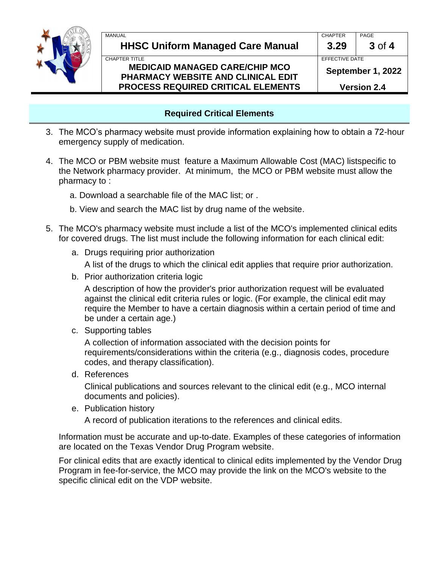

## **Required Critical Elements**

- 3. The MCO's pharmacy website must provide information explaining how to obtain a 72-hour emergency supply of medication.
- 4. The MCO or PBM website must feature a Maximum Allowable Cost (MAC) listspecific to the Network pharmacy provider. At minimum, the MCO or PBM website must allow the pharmacy to :
	- a. Download a searchable file of the MAC list; or .
	- b. View and search the MAC list by drug name of the website.
- 5. The MCO's pharmacy website must include a list of the MCO's implemented clinical edits for covered drugs. The list must include the following information for each clinical edit:
	- a. Drugs requiring prior authorization

A list of the drugs to which the clinical edit applies that require prior authorization.

b. Prior authorization criteria logic

A description of how the provider's prior authorization request will be evaluated against the clinical edit criteria rules or logic. (For example, the clinical edit may require the Member to have a certain diagnosis within a certain period of time and be under a certain age.)

c. Supporting tables

A collection of information associated with the decision points for requirements/considerations within the criteria (e.g., diagnosis codes, procedure codes, and therapy classification).

d. References

Clinical publications and sources relevant to the clinical edit (e.g., MCO internal documents and policies).

e. Publication history

A record of publication iterations to the references and clinical edits.

Information must be accurate and up-to-date. Examples of these categories of information are located on the Texas Vendor Drug Program website.

For clinical edits that are exactly identical to clinical edits implemented by the Vendor Drug Program in fee-for-service, the MCO may provide the link on the MCO's website to the specific clinical edit on the VDP website.